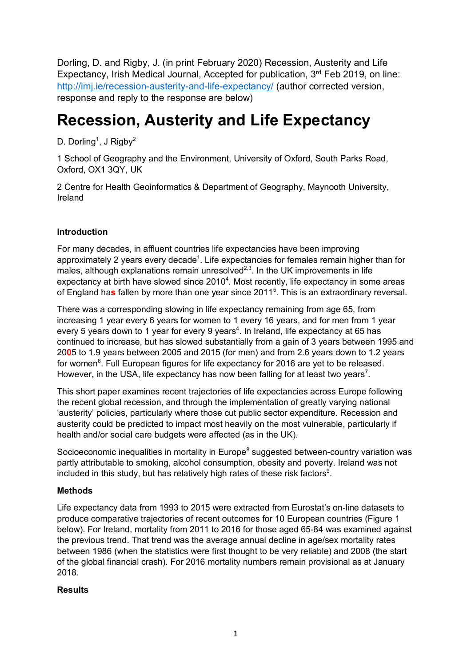Dorling, D. and Rigby, J. (in print February 2020) Recession, Austerity and Life Expectancy, Irish Medical Journal, Accepted for publication, 3<sup>rd</sup> Feb 2019, on line: http://imj.ie/recession-austerity-and-life-expectancy/ (author corrected version, response and reply to the response are below)

# **Recession, Austerity and Life Expectancy**

D. Dorling<sup>1</sup>, J Rigby<sup>2</sup>

1 School of Geography and the Environment, University of Oxford, South Parks Road, Oxford, OX1 3QY, UK

2 Centre for Health Geoinformatics & Department of Geography, Maynooth University, Ireland

## **Introduction**

For many decades, in affluent countries life expectancies have been improving approximately 2 years every decade<sup>1</sup>. Life expectancies for females remain higher than for males, although explanations remain unresolved<sup>2,3</sup>. In the UK improvements in life expectancy at birth have slowed since  $2010<sup>4</sup>$ . Most recently, life expectancy in some areas of England ha**s** fallen by more than one year since 2011<sup>5</sup> . This is an extraordinary reversal.

There was a corresponding slowing in life expectancy remaining from age 65, from increasing 1 year every 6 years for women to 1 every 16 years, and for men from 1 year every 5 years down to 1 year for every 9 years<sup>4</sup>. In Ireland, life expectancy at 65 has continued to increase, but has slowed substantially from a gain of 3 years between 1995 and 20**0**5 to 1.9 years between 2005 and 2015 (for men) and from 2.6 years down to 1.2 years for women<sup>6</sup>. Full European figures for life expectancy for 2016 are yet to be released. However, in the USA, life expectancy has now been falling for at least two years<sup>7</sup>.

This short paper examines recent trajectories of life expectancies across Europe following the recent global recession, and through the implementation of greatly varying national 'austerity' policies, particularly where those cut public sector expenditure. Recession and austerity could be predicted to impact most heavily on the most vulnerable, particularly if health and/or social care budgets were affected (as in the UK).

Socioeconomic inequalities in mortality in Europe<sup>8</sup> suggested between-country variation was partly attributable to smoking, alcohol consumption, obesity and poverty. Ireland was not included in this study, but has relatively high rates of these risk factors<sup>9</sup>.

## **Methods**

Life expectancy data from 1993 to 2015 were extracted from Eurostat's on-line datasets to produce comparative trajectories of recent outcomes for 10 European countries (Figure 1 below). For Ireland, mortality from 2011 to 2016 for those aged 65-84 was examined against the previous trend. That trend was the average annual decline in age/sex mortality rates between 1986 (when the statistics were first thought to be very reliable) and 2008 (the start of the global financial crash). For 2016 mortality numbers remain provisional as at January 2018.

## **Results**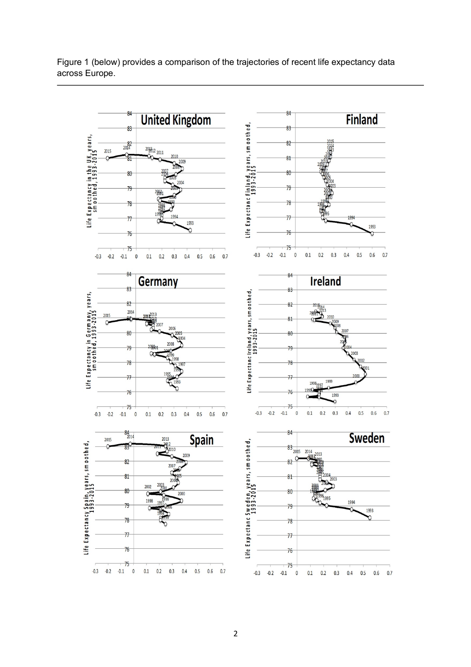#### Figure 1 (below) provides a comparison of the trajectories of recent life expectancy data across Europe.

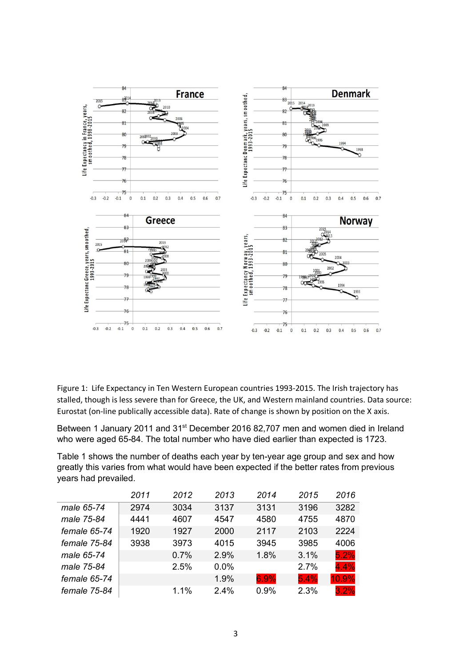

Figure 1: Life Expectancy in Ten Western European countries 1993-2015. The Irish trajectory has stalled, though is less severe than for Greece, the UK, and Western mainland countries. Data source: Eurostat (on-line publically accessible data). Rate of change is shown by position on the X axis.

Between 1 January 2011 and 31<sup>st</sup> December 2016 82,707 men and women died in Ireland who were aged 65-84. The total number who have died earlier than expected is 1723.

Table 1 shows the number of deaths each year by ten-year age group and sex and how greatly this varies from what would have been expected if the better rates from previous years had prevailed.

|              | 2011 | 2012 | 2013 | 2014 | 2015 | 2016  |
|--------------|------|------|------|------|------|-------|
| male 65-74   | 2974 | 3034 | 3137 | 3131 | 3196 | 3282  |
| male 75-84   | 4441 | 4607 | 4547 | 4580 | 4755 | 4870  |
| female 65-74 | 1920 | 1927 | 2000 | 2117 | 2103 | 2224  |
| female 75-84 | 3938 | 3973 | 4015 | 3945 | 3985 | 4006  |
| male 65-74   |      | 0.7% | 2.9% | 1.8% | 3.1% | 5.2%  |
| male 75-84   |      | 2.5% | 0.0% |      | 2.7% | 4.4%  |
| female 65-74 |      |      | 1.9% | 6.9% | 5.4% | 10.9% |
| female 75-84 |      | 1.1% | 2.4% | 0.9% | 2.3% | 3.2%  |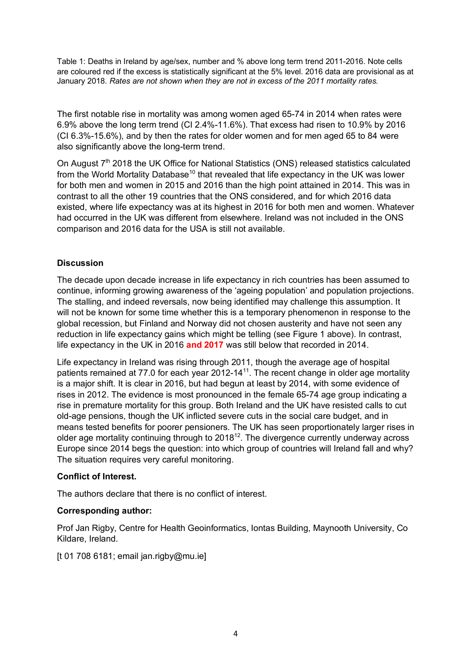Table 1: Deaths in Ireland by age/sex, number and % above long term trend 2011-2016. Note cells are coloured red if the excess is statistically significant at the 5% level. 2016 data are provisional as at January 2018. *Rates are not shown when they are not in excess of the 2011 mortality rates.*

The first notable rise in mortality was among women aged 65-74 in 2014 when rates were 6.9% above the long term trend (CI 2.4%-11.6%). That excess had risen to 10.9% by 2016 (CI 6.3%-15.6%), and by then the rates for older women and for men aged 65 to 84 were also significantly above the long-term trend.

On August 7<sup>th</sup> 2018 the UK Office for National Statistics (ONS) released statistics calculated from the World Mortality Database<sup>10</sup> that revealed that life expectancy in the UK was lower for both men and women in 2015 and 2016 than the high point attained in 2014. This was in contrast to all the other 19 countries that the ONS considered, and for which 2016 data existed, where life expectancy was at its highest in 2016 for both men and women. Whatever had occurred in the UK was different from elsewhere. Ireland was not included in the ONS comparison and 2016 data for the USA is still not available.

## **Discussion**

The decade upon decade increase in life expectancy in rich countries has been assumed to continue, informing growing awareness of the 'ageing population' and population projections. The stalling, and indeed reversals, now being identified may challenge this assumption. It will not be known for some time whether this is a temporary phenomenon in response to the global recession, but Finland and Norway did not chosen austerity and have not seen any reduction in life expectancy gains which might be telling (see Figure 1 above). In contrast, life expectancy in the UK in 2016 **and 2017** was still below that recorded in 2014.

Life expectancy in Ireland was rising through 2011, though the average age of hospital patients remained at 77.0 for each year  $2012-14<sup>11</sup>$ . The recent change in older age mortality is a major shift. It is clear in 2016, but had begun at least by 2014, with some evidence of rises in 2012. The evidence is most pronounced in the female 65-74 age group indicating a rise in premature mortality for this group. Both Ireland and the UK have resisted calls to cut old-age pensions, though the UK inflicted severe cuts in the social care budget, and in means tested benefits for poorer pensioners. The UK has seen proportionately larger rises in older age mortality continuing through to 2018 $^{12}$ . The divergence currently underway across Europe since 2014 begs the question: into which group of countries will Ireland fall and why? The situation requires very careful monitoring.

## **Conflict of Interest.**

The authors declare that there is no conflict of interest.

## **Corresponding author:**

Prof Jan Rigby, Centre for Health Geoinformatics, Iontas Building, Maynooth University, Co Kildare, Ireland.

 $[t 01 708 6181;$  email jan.rigby@mu.ie]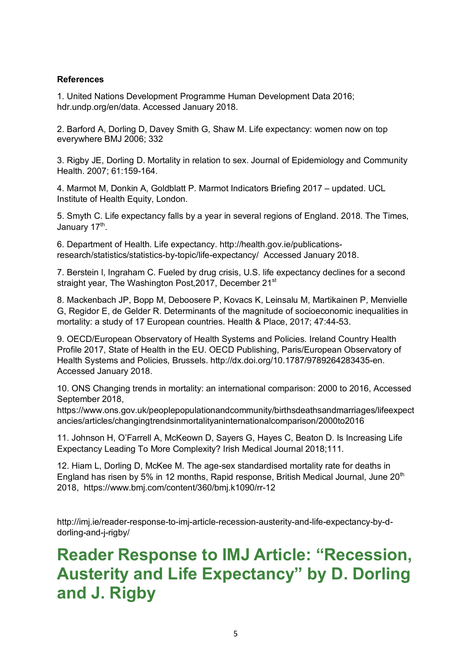#### **References**

1. United Nations Development Programme Human Development Data 2016; hdr.undp.org/en/data. Accessed January 2018.

2. Barford A, Dorling D, Davey Smith G, Shaw M. Life expectancy: women now on top everywhere BMJ 2006; 332

3. Rigby JE, Dorling D. Mortality in relation to sex. Journal of Epidemiology and Community Health. 2007; 61:159-164.

4. Marmot M, Donkin A, Goldblatt P. Marmot Indicators Briefing 2017 – updated. UCL Institute of Health Equity, London.

5. Smyth C. Life expectancy falls by a year in several regions of England. 2018. The Times, January 17<sup>th</sup>.

6. Department of Health. Life expectancy. http://health.gov.ie/publicationsresearch/statistics/statistics-by-topic/life-expectancy/ Accessed January 2018.

7. Berstein l, Ingraham C. Fueled by drug crisis, U.S. life expectancy declines for a second straight year. The Washington Post, 2017, December 21<sup>st</sup>

8. Mackenbach JP, Bopp M, Deboosere P, Kovacs K, Leinsalu M, Martikainen P, Menvielle G, Regidor E, de Gelder R. Determinants of the magnitude of socioeconomic inequalities in mortality: a study of 17 European countries. Health & Place, 2017; 47:44-53.

9. OECD/European Observatory of Health Systems and Policies. Ireland Country Health Profile 2017, State of Health in the EU. OECD Publishing, Paris/European Observatory of Health Systems and Policies, Brussels. http://dx.doi.org/10.1787/9789264283435-en. Accessed January 2018.

10. ONS Changing trends in mortality: an international comparison: 2000 to 2016, Accessed September 2018,

https://www.ons.gov.uk/peoplepopulationandcommunity/birthsdeathsandmarriages/lifeexpect ancies/articles/changingtrendsinmortalityaninternationalcomparison/2000to2016

11. Johnson H, O'Farrell A, McKeown D, Sayers G, Hayes C, Beaton D. Is Increasing Life Expectancy Leading To More Complexity? Irish Medical Journal 2018;111.

12. Hiam L, Dorling D, McKee M. The age-sex standardised mortality rate for deaths in England has risen by 5% in 12 months, Rapid response, British Medical Journal, June 20<sup>th</sup> 2018, https://www.bmj.com/content/360/bmj.k1090/rr-12

http://imj.ie/reader-response-to-imj-article-recession-austerity-and-life-expectancy-by-ddorling-and-j-rigby/

# **Reader Response to IMJ Article: "Recession, Austerity and Life Expectancy" by D. Dorling and J. Rigby**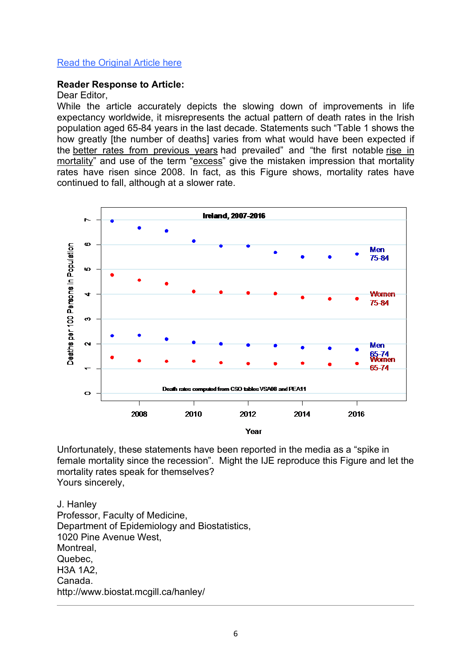## Read the Original Article here

#### **Reader Response to Article:**

#### Dear Editor,

While the article accurately depicts the slowing down of improvements in life expectancy worldwide, it misrepresents the actual pattern of death rates in the Irish population aged 65-84 years in the last decade. Statements such "Table 1 shows the how greatly [the number of deaths] varies from what would have been expected if the better rates from previous years had prevailed" and "the first notable rise in mortality" and use of the term "excess" give the mistaken impression that mortality rates have risen since 2008. In fact, as this Figure shows, mortality rates have continued to fall, although at a slower rate.



Unfortunately, these statements have been reported in the media as a "spike in female mortality since the recession". Might the IJE reproduce this Figure and let the mortality rates speak for themselves? Yours sincerely,

J. Hanley Professor, Faculty of Medicine, Department of Epidemiology and Biostatistics, 1020 Pine Avenue West, Montreal, Quebec, H3A 1A2, Canada. http://www.biostat.mcgill.ca/hanley/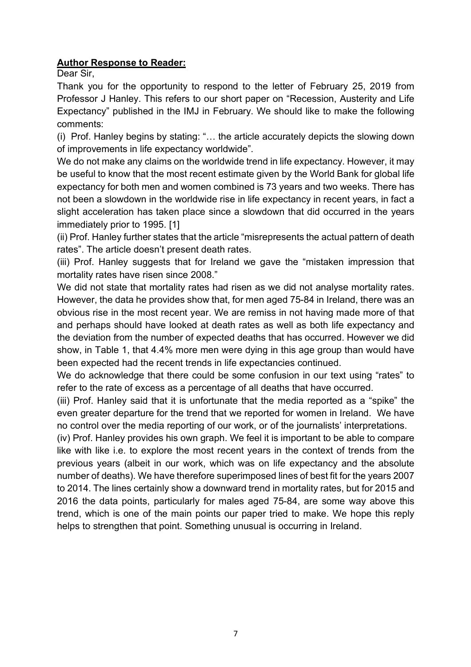# **Author Response to Reader:**

Dear Sir,

Thank you for the opportunity to respond to the letter of February 25, 2019 from Professor J Hanley. This refers to our short paper on "Recession, Austerity and Life Expectancy" published in the IMJ in February. We should like to make the following comments:

(i) Prof. Hanley begins by stating: "… the article accurately depicts the slowing down of improvements in life expectancy worldwide".

We do not make any claims on the worldwide trend in life expectancy. However, it may be useful to know that the most recent estimate given by the World Bank for global life expectancy for both men and women combined is 73 years and two weeks. There has not been a slowdown in the worldwide rise in life expectancy in recent years, in fact a slight acceleration has taken place since a slowdown that did occurred in the years immediately prior to 1995. [1]

(ii) Prof. Hanley further states that the article "misrepresents the actual pattern of death rates". The article doesn't present death rates.

(iii) Prof. Hanley suggests that for Ireland we gave the "mistaken impression that mortality rates have risen since 2008."

We did not state that mortality rates had risen as we did not analyse mortality rates. However, the data he provides show that, for men aged 75-84 in Ireland, there was an obvious rise in the most recent year. We are remiss in not having made more of that and perhaps should have looked at death rates as well as both life expectancy and the deviation from the number of expected deaths that has occurred. However we did show, in Table 1, that 4.4% more men were dying in this age group than would have been expected had the recent trends in life expectancies continued.

We do acknowledge that there could be some confusion in our text using "rates" to refer to the rate of excess as a percentage of all deaths that have occurred.

(iii) Prof. Hanley said that it is unfortunate that the media reported as a "spike" the even greater departure for the trend that we reported for women in Ireland. We have no control over the media reporting of our work, or of the journalists' interpretations.

(iv) Prof. Hanley provides his own graph. We feel it is important to be able to compare like with like i.e. to explore the most recent years in the context of trends from the previous years (albeit in our work, which was on life expectancy and the absolute number of deaths). We have therefore superimposed lines of best fit for the years 2007 to 2014. The lines certainly show a downward trend in mortality rates, but for 2015 and 2016 the data points, particularly for males aged 75-84, are some way above this trend, which is one of the main points our paper tried to make. We hope this reply helps to strengthen that point. Something unusual is occurring in Ireland.